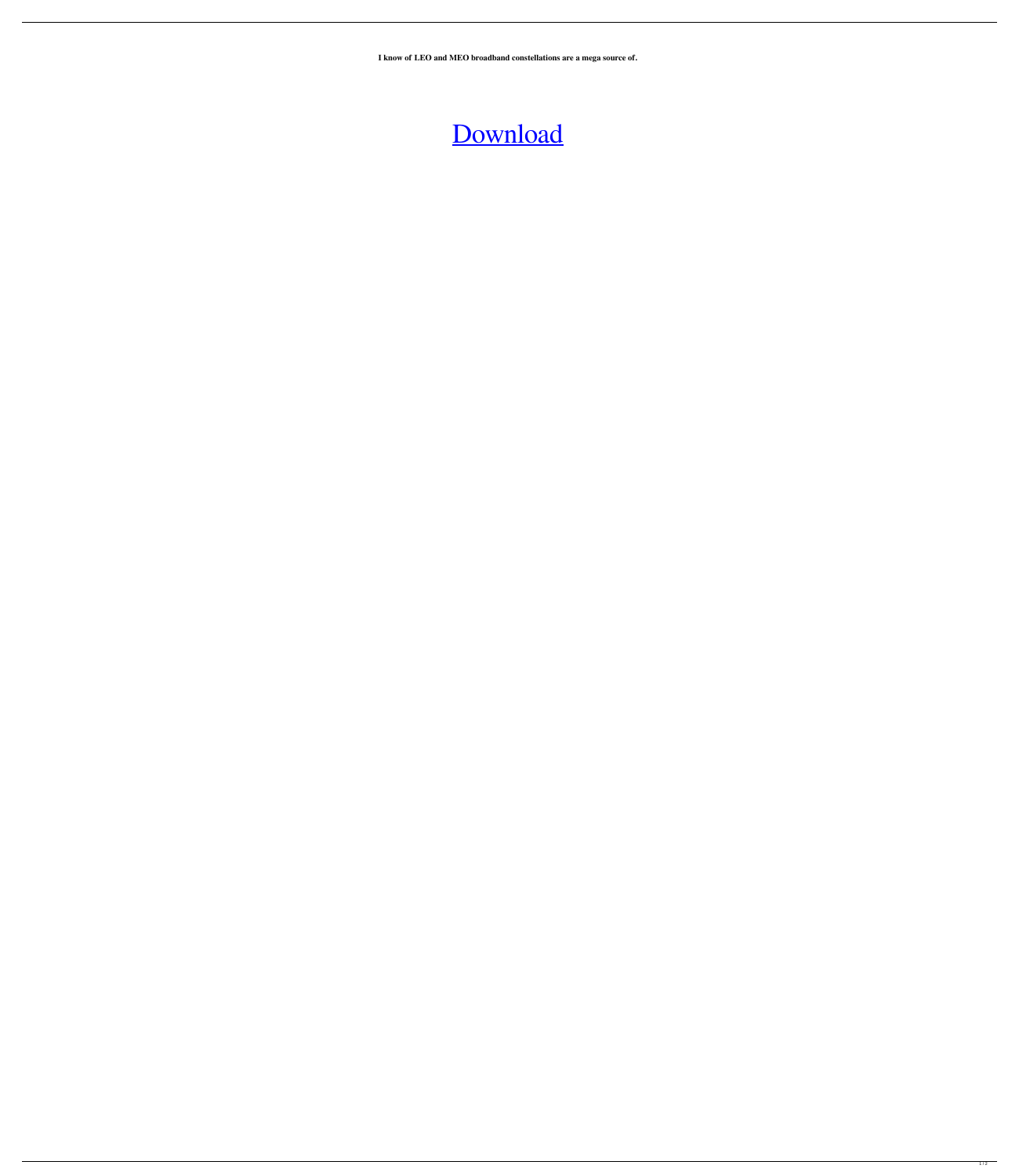**I know of LEO and MEO broadband constellations are a mega source of.**